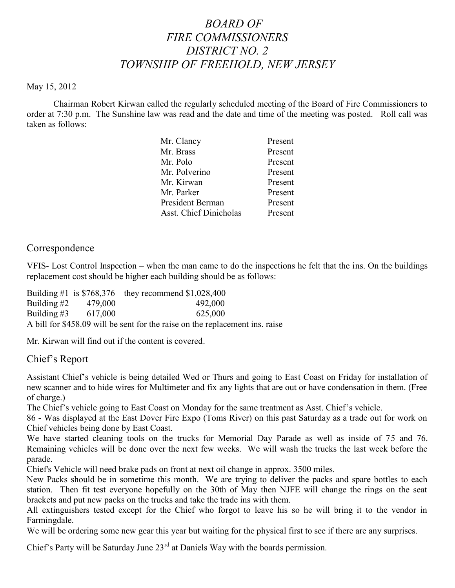# *BOARD OF FIRE COMMISSIONERS DISTRICT NO. 2 TOWNSHIP OF FREEHOLD, NEW JERSEY*

#### May 15, 2012

Chairman Robert Kirwan called the regularly scheduled meeting of the Board of Fire Commissioners to order at 7:30 p.m. The Sunshine law was read and the date and time of the meeting was posted. Roll call was taken as follows:

| Mr. Clancy                    | Present |
|-------------------------------|---------|
| Mr. Brass                     | Present |
| Mr. Polo                      | Present |
| Mr. Polverino                 | Present |
| Mr. Kirwan                    | Present |
| Mr. Parker                    | Present |
| President Berman              | Present |
| <b>Asst. Chief Dinicholas</b> | Present |
|                               |         |

#### **Correspondence**

VFIS- Lost Control Inspection – when the man came to do the inspections he felt that the ins. On the buildings replacement cost should be higher each building should be as follows:

|                                                                              |                       | Building #1 is $$768,376$ they recommend $$1,028,400$ |  |  |  |
|------------------------------------------------------------------------------|-----------------------|-------------------------------------------------------|--|--|--|
|                                                                              | Building #2 $479,000$ | 492,000                                               |  |  |  |
|                                                                              | Building #3 $617,000$ | 625,000                                               |  |  |  |
| A bill for \$458.09 will be sent for the raise on the replacement ins. raise |                       |                                                       |  |  |  |

Mr. Kirwan will find out if the content is covered.

#### Chief's Report

Assistant Chief's vehicle is being detailed Wed or Thurs and going to East Coast on Friday for installation of new scanner and to hide wires for Multimeter and fix any lights that are out or have condensation in them. (Free of charge.)

The Chief's vehicle going to East Coast on Monday for the same treatment as Asst. Chief's vehicle.

86 - Was displayed at the East Dover Fire Expo (Toms River) on this past Saturday as a trade out for work on Chief vehicles being done by East Coast.

We have started cleaning tools on the trucks for Memorial Day Parade as well as inside of 75 and 76. Remaining vehicles will be done over the next few weeks. We will wash the trucks the last week before the parade.

Chief's Vehicle will need brake pads on front at next oil change in approx. 3500 miles.

New Packs should be in sometime this month. We are trying to deliver the packs and spare bottles to each station. Then fit test everyone hopefully on the 30th of May then NJFE will change the rings on the seat brackets and put new packs on the trucks and take the trade ins with them.

All extinguishers tested except for the Chief who forgot to leave his so he will bring it to the vendor in Farmingdale.

We will be ordering some new gear this year but waiting for the physical first to see if there are any surprises.

Chief's Party will be Saturday June 23<sup>rd</sup> at Daniels Way with the boards permission.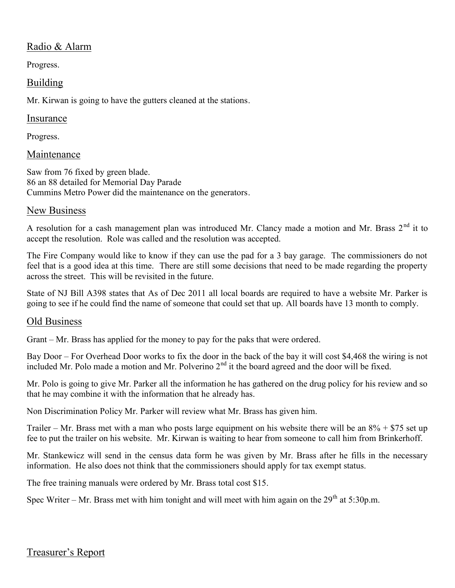# Radio & Alarm

Progress.

## Building

Mr. Kirwan is going to have the gutters cleaned at the stations.

#### Insurance

Progress.

# Maintenance

Saw from 76 fixed by green blade. 86 an 88 detailed for Memorial Day Parade Cummins Metro Power did the maintenance on the generators.

### New Business

A resolution for a cash management plan was introduced Mr. Clancy made a motion and Mr. Brass  $2<sup>nd</sup>$  it to accept the resolution. Role was called and the resolution was accepted.

The Fire Company would like to know if they can use the pad for a 3 bay garage. The commissioners do not feel that is a good idea at this time. There are still some decisions that need to be made regarding the property across the street. This will be revisited in the future.

State of NJ Bill A398 states that As of Dec 2011 all local boards are required to have a website Mr. Parker is going to see if he could find the name of someone that could set that up. All boards have 13 month to comply.

# Old Business

Grant – Mr. Brass has applied for the money to pay for the paks that were ordered.

Bay Door – For Overhead Door works to fix the door in the back of the bay it will cost \$4,468 the wiring is not included Mr. Polo made a motion and Mr. Polverino  $2<sup>nd</sup>$  it the board agreed and the door will be fixed.

Mr. Polo is going to give Mr. Parker all the information he has gathered on the drug policy for his review and so that he may combine it with the information that he already has.<br>Non Discrimination Policy Mr. Parker will review what Mr. Brass has given him.

Trailer – Mr. Brass met with a man who posts large equipment on his website there will be an 8% + \$75 set up fee to put the trailer on his website. Mr. Kirwan is waiting to hear from someone to call him from Brinkerhoff.

Mr. Stankewicz will send in the census data form he was given by Mr. Brass after he fills in the necessary information. He also does not think that the commissioners should apply for tax exempt status.

The free training manuals were ordered by Mr. Brass total cost \$15.

Spec Writer – Mr. Brass met with him tonight and will meet with him again on the  $29<sup>th</sup>$  at  $5:30p.m.$